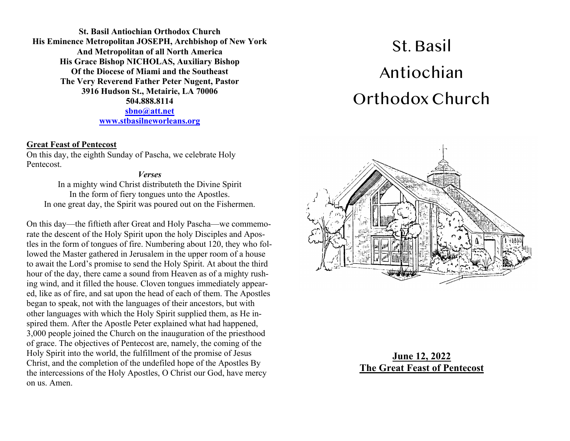**St. Basil Antiochian Orthodox Church His Eminence Metropolitan JOSEPH, Archbishop of New York And Metropolitan of all North America His Grace Bishop NICHOLAS, Auxiliary Bishop Of the Diocese of Miami and the Southeast The Very Reverend Father Peter Nugent, Pastor 3916 Hudson St., Metairie, LA 70006 504.888.8114 sbno@att.net www.stbasilneworleans.org**

#### **Great Feast of Pentecost**

On this day, the eighth Sunday of Pascha, we celebrate Holy Pentecost.

#### *Verses*

In a mighty wind Christ distributeth the Divine Spirit In the form of fiery tongues unto the Apostles. In one great day, the Spirit was poured out on the Fishermen.

On this day—the fiftieth after Great and Holy Pascha—we commemorate the descent of the Holy Spirit upon the holy Disciples and Apostles in the form of tongues of fire. Numbering about 120, they who followed the Master gathered in Jerusalem in the upper room of a house to await the Lord's promise to send the Holy Spirit. At about the third hour of the day, there came a sound from Heaven as of a mighty rushing wind, and it filled the house. Cloven tongues immediately appeared, like as of fire, and sat upon the head of each of them. The Apostles began to speak, not with the languages of their ancestors, but with other languages with which the Holy Spirit supplied them, as He inspired them. After the Apostle Peter explained what had happened, 3,000 people joined the Church on the inauguration of the priesthood of grace. The objectives of Pentecost are, namely, the coming of the Holy Spirit into the world, the fulfillment of the promise of Jesus Christ, and the completion of the undefiled hope of the Apostles By the intercessions of the Holy Apostles, O Christ our God, have mercy on us. Amen.

# St. Basil Antiochian Orthodox Church



### **June 12, 2022 The Great Feast of Pentecost**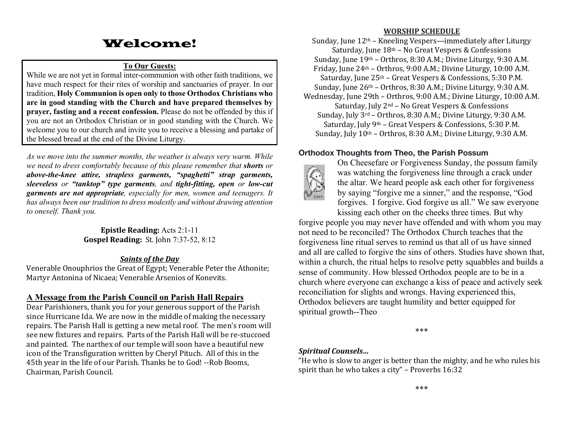## Welcome!

#### **To Our Guests:**

While we are not yet in formal inter-communion with other faith traditions, we have much respect for their rites of worship and sanctuaries of prayer. In our tradition, **Holy Communion is open only to those Orthodox Christians who are in good standing with the Church and have prepared themselves by prayer, fasting and a recent confession.** Please do not be offended by this if you are not an Orthodox Christian or in good standing with the Church. We welcome you to our church and invite you to receive a blessing and partake of the blessed bread at the end of the Divine Liturgy.

*As we move into the summer months, the weather is always very warm. While we need to dress comfortably because of this please remember that shorts or above-the-knee attire, strapless garments, "spaghetti" strap garments, sleeveless or "tanktop" type garments, and tight-fitting, open or low-cut garments are not appropriate, especially for men, women and teenagers. It has always been our tradition to dress modestly and without drawing attention to oneself. Thank you.*

> **Epistle Reading:** Acts 2:1-11 **Gospel Reading:** St. John 7:37-52, 8:12

#### *Saints of the Day*

Venerable Onouphrios the Great of Egypt; Venerable Peter the Athonite; Martyr Antonina of Nicaea; Venerable Arsenios of Konevits.

#### **A Message from the Parish Council on Parish Hall Repairs**

Dear Parishioners, thank you for your generous support of the Parish since Hurricane Ida. We are now in the middle of making the necessary repairs. The Parish Hall is getting a new metal roof. The men's room will see new fixtures and repairs. Parts of the Parish Hall will be re-stuccoed and painted. The narthex of our temple will soon have a beautiful new icon of the Transfiguration written by Cheryl Pituch. All of this in the 45th year in the life of our Parish. Thanks be to God! --Rob Booms, Chairman, Parish Council. 

#### **WORSHIP SCHEDULE**

Sunday, June  $12<sup>th</sup>$  – Kneeling Vespers—immediately after Liturgy Saturday, June  $18<sup>th</sup>$  – No Great Vespers & Confessions Sunday, June  $19<sup>th</sup>$  – Orthros, 8:30 A.M.; Divine Liturgy, 9:30 A.M. Friday, June  $24<sup>th</sup>$  – Orthros, 9:00 A.M.; Divine Liturgy, 10:00 A.M. Saturday, June  $25<sup>th</sup>$  – Great Vespers & Confessions, 5:30 P.M. Sunday, June  $26<sup>th</sup>$  – Orthros, 8:30 A.M.; Divine Liturgy, 9:30 A.M. Wednesday, June 29th – Orthros, 9:00 A.M.; Divine Liturgy, 10:00 A.M. Saturday, July  $2<sup>nd</sup>$  – No Great Vespers & Confessions Sunday, July  $3^{rd}$  – Orthros, 8:30 A.M.; Divine Liturgy, 9:30 A.M. Saturday, July  $9<sup>th</sup>$  – Great Vespers & Confessions, 5:30 P.M. Sunday, July  $10<sup>th</sup>$  – Orthros, 8:30 A.M.; Divine Liturgy, 9:30 A.M.

#### **Orthodox Thoughts from Theo, the Parish Possum**



On Cheesefare or Forgiveness Sunday, the possum family was watching the forgiveness line through a crack under the altar. We heard people ask each other for forgiveness by saying "forgive me a sinner," and the response, "God forgives. I forgive. God forgive us all." We saw everyone kissing each other on the cheeks three times. But why

forgive people you may never have offended and with whom you may not need to be reconciled? The Orthodox Church teaches that the forgiveness line ritual serves to remind us that all of us have sinned and all are called to forgive the sins of others. Studies have shown that, within a church, the ritual helps to resolve petty squabbles and builds a sense of community. How blessed Orthodox people are to be in a church where everyone can exchange a kiss of peace and actively seek reconciliation for slights and wrongs. Having experienced this, Orthodox believers are taught humility and better equipped for spiritual growth--Theo

\*\*\*

#### *Spiritual Counsels…*

"He who is slow to anger is better than the mighty, and he who rules his spirit than he who takes a city" – Proverbs  $16:32$